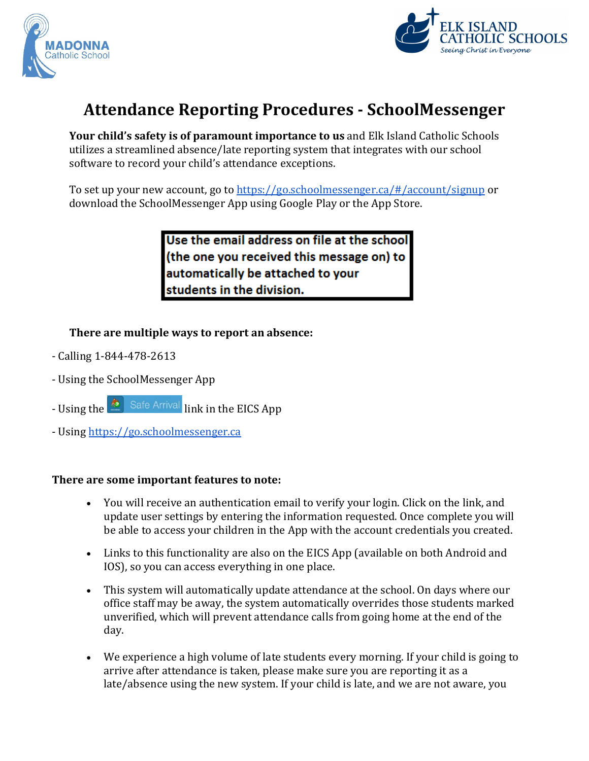



## **Attendance Reporting Procedures - SchoolMessenger**

**Your child's safety is of paramount importance to us** and Elk Island Catholic Schools utilizes a streamlined absence/late reporting system that integrates with our school software to record your child's attendance exceptions.

To set up your new account, go to<https://go.schoolmessenger.ca/#/account/signup> or download the SchoolMessenger App using Google Play or the App Store.

> Use the email address on file at the school (the one you received this message on) to automatically be attached to your students in the division.

**There are multiple ways to report an absence:**

- Calling 1-844-478-2613
- Using the SchoolMessenger App
- Using the **line is a Safe Arrival** link in the EICS App
- Using [https://go.schoolmessenger.ca](https://go.schoolmessenger.ca/)

## **There are some important features to note:**

- You will receive an authentication email to verify your login. Click on the link, and update user settings by entering the information requested. Once complete you will be able to access your children in the App with the account credentials you created.
- Links to this functionality are also on the EICS App (available on both Android and IOS), so you can access everything in one place.
- This system will automatically update attendance at the school. On days where our office staff may be away, the system automatically overrides those students marked unverified, which will prevent attendance calls from going home at the end of the day.
- We experience a high volume of late students every morning. If your child is going to arrive after attendance is taken, please make sure you are reporting it as a late/absence using the new system. If your child is late, and we are not aware, you